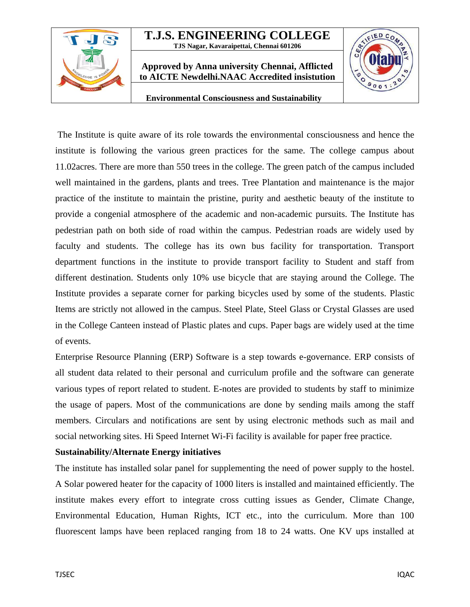

## **T.J.S. ENGINEERING COLLEGE TJS Nagar, Kavaraipettai, Chennai 601206**

**Approved by Anna university Chennai, Afflicted to AICTE Newdelhi.NAAC Accredited insistution**



**Environmental Consciousness and Sustainability** 

The Institute is quite aware of its role towards the environmental consciousness and hence the institute is following the various green practices for the same. The college campus about 11.02acres. There are more than 550 trees in the college. The green patch of the campus included well maintained in the gardens, plants and trees. Tree Plantation and maintenance is the major practice of the institute to maintain the pristine, purity and aesthetic beauty of the institute to provide a congenial atmosphere of the academic and non-academic pursuits. The Institute has pedestrian path on both side of road within the campus. Pedestrian roads are widely used by faculty and students. The college has its own bus facility for transportation. Transport department functions in the institute to provide transport facility to Student and staff from different destination. Students only 10% use bicycle that are staying around the College. The Institute provides a separate corner for parking bicycles used by some of the students. Plastic Items are strictly not allowed in the campus. Steel Plate, Steel Glass or Crystal Glasses are used in the College Canteen instead of Plastic plates and cups. Paper bags are widely used at the time of events.

Enterprise Resource Planning (ERP) Software is a step towards e-governance. ERP consists of all student data related to their personal and curriculum profile and the software can generate various types of report related to student. E-notes are provided to students by staff to minimize the usage of papers. Most of the communications are done by sending mails among the staff members. Circulars and notifications are sent by using electronic methods such as mail and social networking sites. Hi Speed Internet Wi-Fi facility is available for paper free practice.

## **Sustainability/Alternate Energy initiatives**

The institute has installed solar panel for supplementing the need of power supply to the hostel. A Solar powered heater for the capacity of 1000 liters is installed and maintained efficiently. The institute makes every effort to integrate cross cutting issues as Gender, Climate Change, Environmental Education, Human Rights, ICT etc., into the curriculum. More than 100 fluorescent lamps have been replaced ranging from 18 to 24 watts. One KV ups installed at